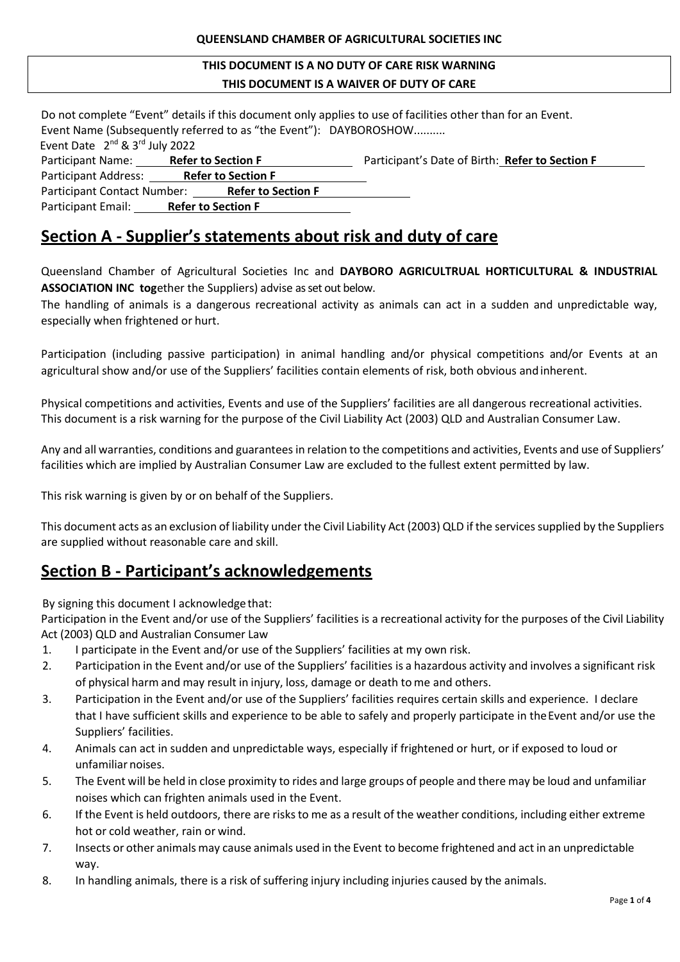#### **THIS DOCUMENT IS A NO DUTY OF CARE RISK WARNING THIS DOCUMENT IS A WAIVER OF DUTY OF CARE**

| Do not complete "Event" details if this document only applies to use of facilities other than for an Event.<br>Event Name (Subsequently referred to as "the Event"): DAYBOROSHOW |  |                                                 |  |  |  |
|----------------------------------------------------------------------------------------------------------------------------------------------------------------------------------|--|-------------------------------------------------|--|--|--|
| Event Date 2 <sup>nd</sup> & 3 <sup>rd</sup> July 2022                                                                                                                           |  |                                                 |  |  |  |
| Participant Name: Refer to Section F                                                                                                                                             |  | Participant's Date of Birth: Refer to Section F |  |  |  |
| Participant Address: Refer to Section F                                                                                                                                          |  |                                                 |  |  |  |
| Participant Contact Number: Refer to Section F                                                                                                                                   |  |                                                 |  |  |  |
| Participant Email: Refer to Section F                                                                                                                                            |  |                                                 |  |  |  |

# **Section A - Supplier's statements about risk and duty of care**

Queensland Chamber of Agricultural Societies Inc and **DAYBORO AGRICULTRUAL HORTICULTURAL & INDUSTRIAL ASSOCIATION INC tog**ether the Suppliers) advise as set out below.

The handling of animals is a dangerous recreational activity as animals can act in a sudden and unpredictable way, especially when frightened or hurt.

Participation (including passive participation) in animal handling and/or physical competitions and/or Events at an agricultural show and/or use of the Suppliers' facilities contain elements of risk, both obvious andinherent.

Physical competitions and activities, Events and use of the Suppliers' facilities are all dangerous recreational activities. This document is a risk warning for the purpose of the Civil Liability Act (2003) QLD and Australian Consumer Law.

Any and all warranties, conditions and guarantees in relation to the competitions and activities, Events and use of Suppliers' facilities which are implied by Australian Consumer Law are excluded to the fullest extent permitted by law.

This risk warning is given by or on behalf of the Suppliers.

This document acts as an exclusion of liability under the Civil Liability Act (2003) QLD if the services supplied by the Suppliers are supplied without reasonable care and skill.

# **Section B - Participant's acknowledgements**

By signing this document I acknowledge that:

Participation in the Event and/or use of the Suppliers' facilities is a recreational activity for the purposes of the Civil Liability Act (2003) QLD and Australian Consumer Law

- 1. I participate in the Event and/or use of the Suppliers' facilities at my own risk.
- 2. Participation in the Event and/or use of the Suppliers' facilities is a hazardous activity and involves a significant risk of physical harm and may result in injury, loss, damage or death to me and others.
- 3. Participation in the Event and/or use of the Suppliers' facilities requires certain skills and experience. I declare that I have sufficient skills and experience to be able to safely and properly participate in theEvent and/or use the Suppliers' facilities.
- 4. Animals can act in sudden and unpredictable ways, especially if frightened or hurt, or if exposed to loud or unfamiliar noises.
- 5. The Event will be held in close proximity to rides and large groups of people and there may be loud and unfamiliar noises which can frighten animals used in the Event.
- 6. If the Event is held outdoors, there are risks to me as a result of the weather conditions, including either extreme hot or cold weather, rain or wind.
- 7. Insects or other animals may cause animals used in the Event to become frightened and act in an unpredictable way.
- 8. In handling animals, there is a risk of suffering injury including injuries caused by the animals.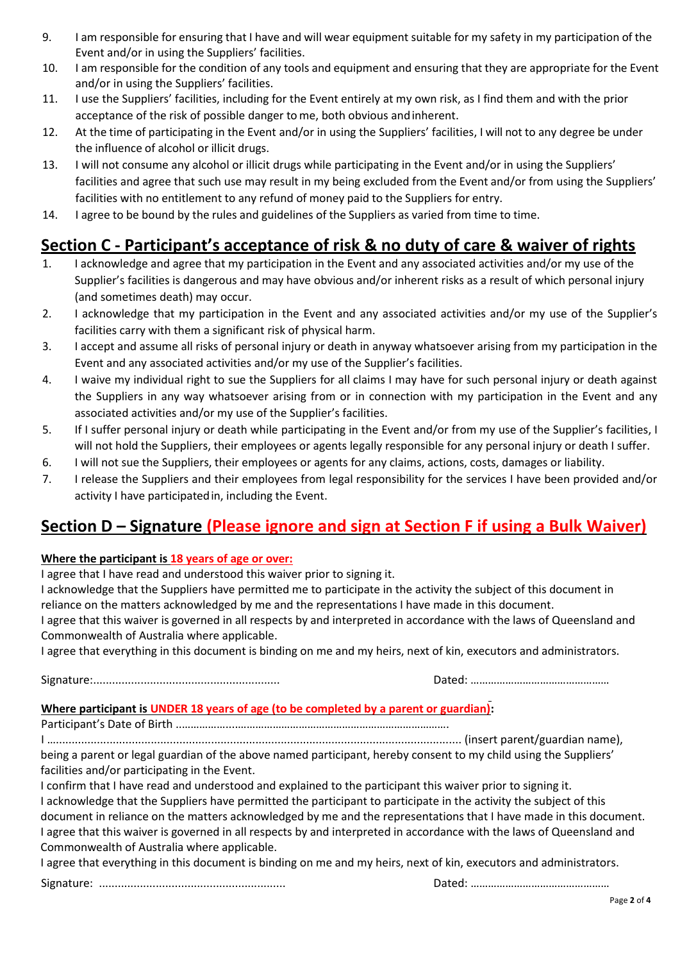- 9. I am responsible for ensuring that I have and will wear equipment suitable for my safety in my participation of the Event and/or in using the Suppliers' facilities.
- 10. I am responsible for the condition of any tools and equipment and ensuring that they are appropriate for the Event and/or in using the Suppliers' facilities.
- 11. I use the Suppliers' facilities, including for the Event entirely at my own risk, as I find them and with the prior acceptance of the risk of possible danger tome, both obvious andinherent.
- 12. At the time of participating in the Event and/or in using the Suppliers' facilities, I will not to any degree be under the influence of alcohol or illicit drugs.
- 13. I will not consume any alcohol or illicit drugs while participating in the Event and/or in using the Suppliers' facilities and agree that such use may result in my being excluded from the Event and/or from using the Suppliers' facilities with no entitlement to any refund of money paid to the Suppliers for entry.
- 14. I agree to be bound by the rules and guidelines of the Suppliers as varied from time to time.

# **Section C - Participant's acceptance of risk & no duty of care & waiver of rights**

- 1. I acknowledge and agree that my participation in the Event and any associated activities and/or my use of the Supplier's facilities is dangerous and may have obvious and/or inherent risks as a result of which personal injury (and sometimes death) may occur.
- 2. I acknowledge that my participation in the Event and any associated activities and/or my use of the Supplier's facilities carry with them a significant risk of physical harm.
- 3. I accept and assume all risks of personal injury or death in anyway whatsoever arising from my participation in the Event and any associated activities and/or my use of the Supplier's facilities.
- 4. I waive my individual right to sue the Suppliers for all claims I may have for such personal injury or death against the Suppliers in any way whatsoever arising from or in connection with my participation in the Event and any associated activities and/or my use of the Supplier's facilities.
- 5. If I suffer personal injury or death while participating in the Event and/or from my use of the Supplier's facilities, I will not hold the Suppliers, their employees or agents legally responsible for any personal injury or death I suffer.
- 6. I will not sue the Suppliers, their employees or agents for any claims, actions, costs, damages or liability.
- 7. I release the Suppliers and their employees from legal responsibility for the services I have been provided and/or activity I have participatedin, including the Event.

# **Section D – Signature (Please ignore and sign at Section F if using a Bulk Waiver)**

#### **Where the participant is 18 years of age or over:**

I agree that I have read and understood this waiver prior to signing it.

I acknowledge that the Suppliers have permitted me to participate in the activity the subject of this document in reliance on the matters acknowledged by me and the representations I have made in this document.

I agree that this waiver is governed in all respects by and interpreted in accordance with the laws of Queensland and Commonwealth of Australia where applicable.

I agree that everything in this document is binding on me and my heirs, next of kin, executors and administrators.

Signature:........................................................... Dated: …………………………………………

#### **Where participant is UNDER 18 years of age (to be completed by a parent or guardian):**

Participant's Date of Birth ..……………....……………………………………………………………….

I …................................................................................................................................ (insert parent/guardian name), being a parent or legal guardian of the above named participant, hereby consent to my child using the Suppliers' facilities and/or participating in the Event.

I confirm that I have read and understood and explained to the participant this waiver prior to signing it. I acknowledge that the Suppliers have permitted the participant to participate in the activity the subject of this document in reliance on the matters acknowledged by me and the representations that I have made in this document. I agree that this waiver is governed in all respects by and interpreted in accordance with the laws of Queensland and Commonwealth of Australia where applicable.

I agree that everything in this document is binding on me and my heirs, next of kin, executors and administrators.

Signature: ........................................................... Dated: …………………………………………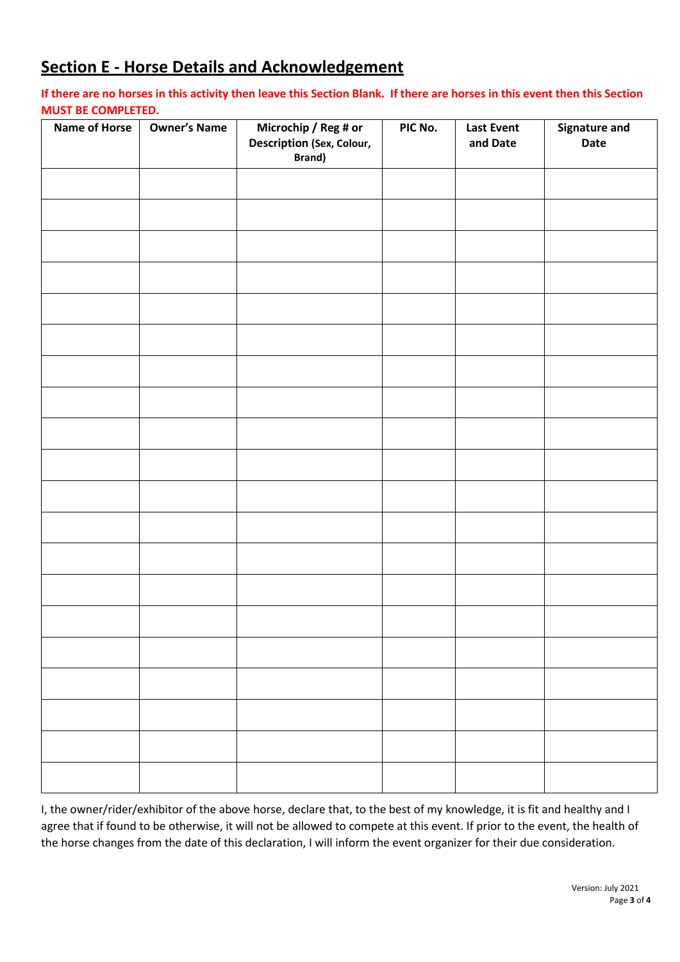# **Section E - Horse Details and Acknowledgement**

#### **If there are no horses in this activity then leave this Section Blank. If there are horses in this event then this Section MUST BE COMPLETED.**

| <b>Name of Horse</b> | <b>Owner's Name</b> | Microchip / Reg # or<br>Description (Sex, Colour,<br>Brand) | PIC No. | <b>Last Event</b><br>and Date | Signature and<br>Date |
|----------------------|---------------------|-------------------------------------------------------------|---------|-------------------------------|-----------------------|
|                      |                     |                                                             |         |                               |                       |
|                      |                     |                                                             |         |                               |                       |
|                      |                     |                                                             |         |                               |                       |
|                      |                     |                                                             |         |                               |                       |
|                      |                     |                                                             |         |                               |                       |
|                      |                     |                                                             |         |                               |                       |
|                      |                     |                                                             |         |                               |                       |
|                      |                     |                                                             |         |                               |                       |
|                      |                     |                                                             |         |                               |                       |
|                      |                     |                                                             |         |                               |                       |
|                      |                     |                                                             |         |                               |                       |
|                      |                     |                                                             |         |                               |                       |
|                      |                     |                                                             |         |                               |                       |
|                      |                     |                                                             |         |                               |                       |
|                      |                     |                                                             |         |                               |                       |
|                      |                     |                                                             |         |                               |                       |
|                      |                     |                                                             |         |                               |                       |
|                      |                     |                                                             |         |                               |                       |
|                      |                     |                                                             |         |                               |                       |
|                      |                     |                                                             |         |                               |                       |

I, the owner/rider/exhibitor of the above horse, declare that, to the best of my knowledge, it is fit and healthy and I agree that if found to be otherwise, it will not be allowed to compete at this event. If prior to the event, the health of the horse changes from the date of this declaration, I will inform the event organizer for their due consideration.